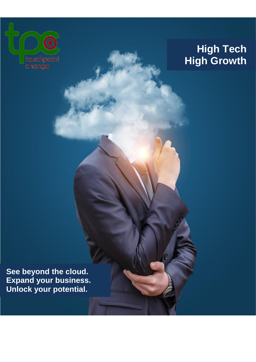

# **High Tech High Growth**

 **See beyond the cloud. Expand your business. Unlock your potential.**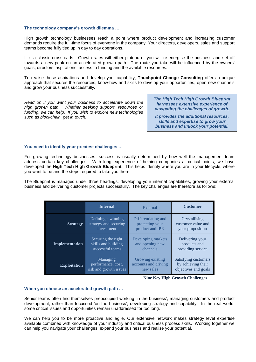## **The technology company's growth dilemma …**

High growth technology businesses reach a point where product development and increasing customer demands require the full-time focus of everyone in the company. Your directors, developers, sales and support teams become fully tied up in day to day operations.

It is a classic crossroads. Growth rates will either plateau or you will re-energise the business and set off towards a new peak on an accelerated growth path. The route you take will be influenced by the owners' goals, directors' aspirations, access to funding and the available resources.

To realise those aspirations and develop your capability, **Touchpoint Change Consulting** offers a unique approach that secures the resources, know-how and skills to develop your opportunities, open new channels and grow your business successfully.

*Read on if you want your business to accelerate down the high growth path. Whether seeking support, resources or funding, we can help. If you wish to explore new technologies such as blockchain, get in touch.* 

*The High Tech High Growth Blueprint harnesses extensive experience of navigating the challenges of growth.* 

*It provides the additional resources, skills and expertise to grow your business and unlock your potential.*

## **You need to identify your greatest challenges …**

For growing technology businesses, success is usually determined by how well the management team address certain key challenges. With long experience of helping companies at critical points, we have developed the **High Tech High Growth Blueprint**. This helps identify where you are in your lifecycle, where you want to be and the steps required to take you there.

The Blueprint is managed under three headings: developing your internal capabilities, growing your external business and delivering customer projects successfully. The key challenges are therefore as follows:

|                       | <b>Internal</b>        | External             | <b>Customer</b>      |
|-----------------------|------------------------|----------------------|----------------------|
| <b>Strategy</b>       | Defining a winning     | Differentiating and  | Crystallising        |
|                       | strategy and securing  | protecting your      | customer value and   |
|                       | investment             | product and IPR      | your proposition     |
| <b>Implementation</b> | Securing the right     | Developing markets   | Delivering your      |
|                       | skills and building    | and opening new      | products and         |
|                       | successful teams       | channels             | providing service    |
| <b>Exploitation</b>   | Managing               | Growing existing     | Satisfying customers |
|                       | performance, cost,     | accounts and driving | by achieving their   |
|                       | risk and growth issues | new sales            | objectives and goals |



### **When you choose an accelerated growth path ...**

Senior teams often find themselves preoccupied working 'in the business', managing customers and product development, rather than focussed 'on the business', developing strategy and capability. In the real world, some critical issues and opportunities remain unaddressed for too long.

We can help you to be more proactive and agile. Our extensive network makes strategy level expertise available combined with knowledge of your industry and critical business process skills. Working together we can help you navigate your challenges, expand your business and realise your potential.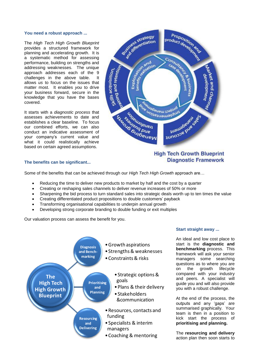## **You need a robust approach ...**

The *High Tech High Growth Blueprint* provides a structured framework for planning and accelerating growth. It is a systematic method for assessing performance, building on strengths and addressing weaknesses. The unique approach addresses each of the 9 challenges in the above table. It allows *us* to focus on the issues that matter most. It enables *you* to drive your business forward, secure in the knowledge that you have the bases covered.

It starts with a *diagnostic process* that assesses achievements to date and establishes a clear baseline. To focus our combined efforts, we can also conduct an indicative assessment of your company's current value and what it could realistically achieve based on certain agreed assumptions.



# **The benefits can be significant...**

# **High Tech Growth Blueprint Diagnostic Framework**

Some of the benefits that can be achieved through our *High Tech High Growth* approach are…

- Reducing the time to deliver new products to market by half and the cost by a quarter
- Creating or reshaping sales channels to deliver revenue increases of 50% or more
- Sharpening the bid process to turn standard sales into strategic deals worth up to ten times the value
- Creating differentiated product propositions to double customers' payback
- Transforming organisational capabilities to underpin annual growth
- Developing strong corporate branding to double funding or exit multiples

Our valuation process can assess the benefit for you.



## **Start straight away ...**

An ideal and low cost place to start is the **diagnostic and benchmarking** process. This framework will ask your senior managers some searching questions as to where you are on the growth lifecycle compared with your industry and peers. A specialist will guide you and will also provide you with a robust challenge.

At the end of the process, the outputs and any 'gaps' are summarised graphically. Your team is then in a position to kick start the process of **prioritising and planning.** 

The **resourcing and delivery** action plan then soon starts to